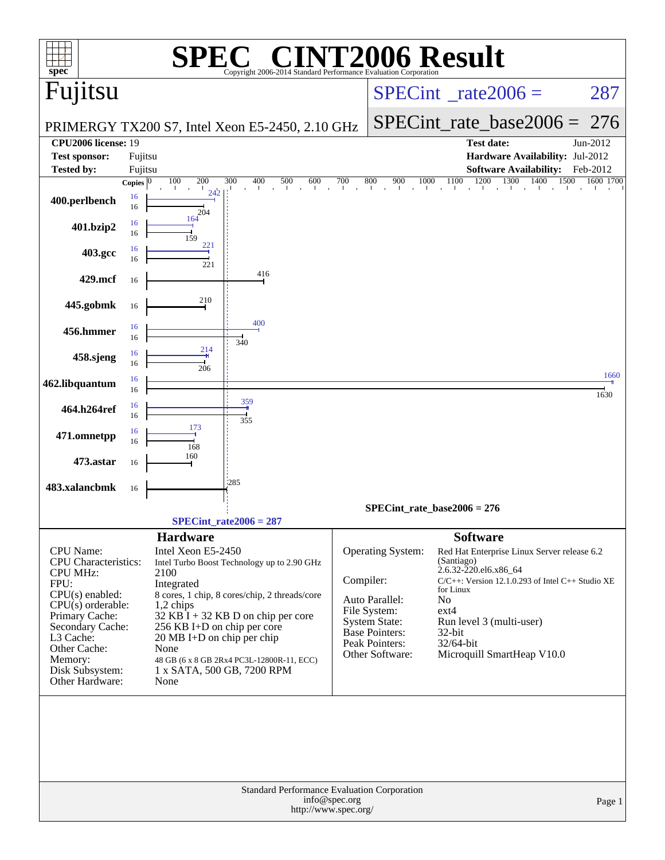|                                                                                                                                                                                                                            |                         |                                                                                                                                                                                                                             | $\bigcap$                                                                                                                                 |                                       |                                                                                                                                    | <b>NT2006 Result</b>                                                                                                                                                                                                                                                                  |                       |
|----------------------------------------------------------------------------------------------------------------------------------------------------------------------------------------------------------------------------|-------------------------|-----------------------------------------------------------------------------------------------------------------------------------------------------------------------------------------------------------------------------|-------------------------------------------------------------------------------------------------------------------------------------------|---------------------------------------|------------------------------------------------------------------------------------------------------------------------------------|---------------------------------------------------------------------------------------------------------------------------------------------------------------------------------------------------------------------------------------------------------------------------------------|-----------------------|
| spec <sup>®</sup><br>Fujitsu                                                                                                                                                                                               |                         |                                                                                                                                                                                                                             | Copyright 2006-2014 Standard Performance Evaluation Corporation                                                                           |                                       |                                                                                                                                    | $SPECint^{\circ}$ rate $2006 =$                                                                                                                                                                                                                                                       | 287                   |
|                                                                                                                                                                                                                            |                         | PRIMERGY TX200 S7, Intel Xeon E5-2450, 2.10 GHz                                                                                                                                                                             |                                                                                                                                           |                                       |                                                                                                                                    | $SPECint_rate_base2006 =$                                                                                                                                                                                                                                                             | 276                   |
| CPU <sub>2006</sub> license: 19                                                                                                                                                                                            |                         |                                                                                                                                                                                                                             |                                                                                                                                           |                                       |                                                                                                                                    | <b>Test date:</b>                                                                                                                                                                                                                                                                     | Jun-2012              |
| <b>Test sponsor:</b>                                                                                                                                                                                                       | Fujitsu                 |                                                                                                                                                                                                                             |                                                                                                                                           |                                       |                                                                                                                                    | Hardware Availability: Jul-2012                                                                                                                                                                                                                                                       |                       |
| <b>Tested by:</b>                                                                                                                                                                                                          | Fujitsu<br>Copies $ 0 $ | 100<br>200<br>300                                                                                                                                                                                                           | 400<br>500<br>600                                                                                                                         | 700                                   | 800<br>900<br>1000                                                                                                                 | <b>Software Availability:</b><br>1200<br>1100<br>1300<br>1400<br>1500                                                                                                                                                                                                                 | Feb-2012<br>1600 1700 |
| 400.perlbench                                                                                                                                                                                                              | 16<br>16                | 204                                                                                                                                                                                                                         | $\sim$                                                                                                                                    | $\hat{\mathbf{r}}$                    |                                                                                                                                    | $\frac{1}{1}$ $\frac{1}{1}$ $\frac{1}{1}$ $\frac{1}{1}$ $\frac{1}{1}$ $\frac{1}{1}$ $\frac{1}{1}$ $\frac{1}{1}$                                                                                                                                                                       |                       |
| 401.bzip2                                                                                                                                                                                                                  | 16<br>16                | 164<br>159                                                                                                                                                                                                                  |                                                                                                                                           |                                       |                                                                                                                                    |                                                                                                                                                                                                                                                                                       |                       |
| 403.gcc                                                                                                                                                                                                                    | 16<br>16                | 221<br>221                                                                                                                                                                                                                  |                                                                                                                                           |                                       |                                                                                                                                    |                                                                                                                                                                                                                                                                                       |                       |
| 429.mcf                                                                                                                                                                                                                    | 16                      |                                                                                                                                                                                                                             | 416                                                                                                                                       |                                       |                                                                                                                                    |                                                                                                                                                                                                                                                                                       |                       |
| 445.gobmk                                                                                                                                                                                                                  | 16                      | 210                                                                                                                                                                                                                         |                                                                                                                                           |                                       |                                                                                                                                    |                                                                                                                                                                                                                                                                                       |                       |
| 456.hmmer                                                                                                                                                                                                                  | 16<br>16                |                                                                                                                                                                                                                             | 400<br>340                                                                                                                                |                                       |                                                                                                                                    |                                                                                                                                                                                                                                                                                       |                       |
| 458.sjeng                                                                                                                                                                                                                  | 16<br>16                | 214<br>206                                                                                                                                                                                                                  |                                                                                                                                           |                                       |                                                                                                                                    |                                                                                                                                                                                                                                                                                       |                       |
| 462.libquantum                                                                                                                                                                                                             | 16<br>16                |                                                                                                                                                                                                                             |                                                                                                                                           |                                       |                                                                                                                                    |                                                                                                                                                                                                                                                                                       | 1660<br>1630          |
| 464.h264ref                                                                                                                                                                                                                | 16<br>16                |                                                                                                                                                                                                                             | 359<br>355                                                                                                                                |                                       |                                                                                                                                    |                                                                                                                                                                                                                                                                                       |                       |
| 471.omnetpp                                                                                                                                                                                                                | 16<br>16                | 173<br>168                                                                                                                                                                                                                  |                                                                                                                                           |                                       |                                                                                                                                    |                                                                                                                                                                                                                                                                                       |                       |
| 473.astar                                                                                                                                                                                                                  | 16                      | 160                                                                                                                                                                                                                         |                                                                                                                                           |                                       |                                                                                                                                    |                                                                                                                                                                                                                                                                                       |                       |
| 483.xalancbmk                                                                                                                                                                                                              | 16                      | 285                                                                                                                                                                                                                         |                                                                                                                                           |                                       |                                                                                                                                    |                                                                                                                                                                                                                                                                                       |                       |
|                                                                                                                                                                                                                            |                         | $SPECint_rate2006 = 287$                                                                                                                                                                                                    |                                                                                                                                           |                                       |                                                                                                                                    | $SPECint_rate_base2006 = 276$                                                                                                                                                                                                                                                         |                       |
| CPU Name:<br>CPU Characteristics:<br><b>CPU MHz:</b><br>FPU:<br>CPU(s) enabled:<br>$CPU(s)$ orderable:<br>Primary Cache:<br>Secondary Cache:<br>L3 Cache:<br>Other Cache:<br>Memory:<br>Disk Subsystem:<br>Other Hardware: |                         | <b>Hardware</b><br>Intel Xeon E5-2450<br>2100<br>Integrated<br>1,2 chips<br>$32$ KB I + 32 KB D on chip per core<br>256 KB I+D on chip per core<br>20 MB I+D on chip per chip<br>None<br>1 x SATA, 500 GB, 7200 RPM<br>None | Intel Turbo Boost Technology up to 2.90 GHz<br>8 cores, 1 chip, 8 cores/chip, 2 threads/core<br>48 GB (6 x 8 GB 2Rx4 PC3L-12800R-11, ECC) | Compiler:                             | Operating System:<br>Auto Parallel:<br>File System:<br><b>System State:</b><br>Base Pointers:<br>Peak Pointers:<br>Other Software: | <b>Software</b><br>Red Hat Enterprise Linux Server release 6.2<br>(Santiago)<br>2.6.32-220.el6.x86_64<br>C/C++: Version 12.1.0.293 of Intel C++ Studio XE<br>for Linux<br>N <sub>o</sub><br>$ext{4}$<br>Run level 3 (multi-user)<br>32-bit<br>32/64-bit<br>Microquill SmartHeap V10.0 |                       |
|                                                                                                                                                                                                                            |                         |                                                                                                                                                                                                                             | <b>Standard Performance Evaluation Corporation</b>                                                                                        | info@spec.org<br>http://www.spec.org/ |                                                                                                                                    |                                                                                                                                                                                                                                                                                       | Page 1                |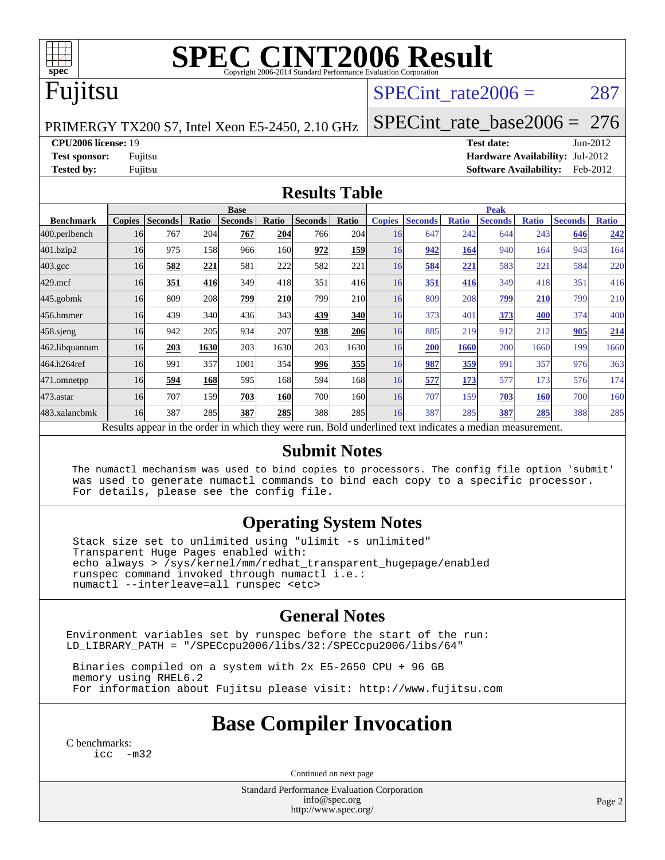

# **[SPEC CINT2006 Result](http://www.spec.org/auto/cpu2006/Docs/result-fields.html#SPECCINT2006Result)**

## Fujitsu

### SPECint rate $2006 = 287$

PRIMERGY TX200 S7, Intel Xeon E5-2450, 2.10 GHz

[SPECint\\_rate\\_base2006 =](http://www.spec.org/auto/cpu2006/Docs/result-fields.html#SPECintratebase2006) 276

**[CPU2006 license:](http://www.spec.org/auto/cpu2006/Docs/result-fields.html#CPU2006license)** 19 **[Test date:](http://www.spec.org/auto/cpu2006/Docs/result-fields.html#Testdate)** Jun-2012 **[Test sponsor:](http://www.spec.org/auto/cpu2006/Docs/result-fields.html#Testsponsor)** Fujitsu **[Hardware Availability:](http://www.spec.org/auto/cpu2006/Docs/result-fields.html#HardwareAvailability)** Jul-2012 **[Tested by:](http://www.spec.org/auto/cpu2006/Docs/result-fields.html#Testedby)** Fujitsu **[Software Availability:](http://www.spec.org/auto/cpu2006/Docs/result-fields.html#SoftwareAvailability)** Feb-2012

#### **[Results Table](http://www.spec.org/auto/cpu2006/Docs/result-fields.html#ResultsTable)**

|                    | <b>Base</b>                                                                                              |                |            |                |            |                | <b>Peak</b> |               |                |              |                |              |                |              |
|--------------------|----------------------------------------------------------------------------------------------------------|----------------|------------|----------------|------------|----------------|-------------|---------------|----------------|--------------|----------------|--------------|----------------|--------------|
| <b>Benchmark</b>   | <b>Copies</b>                                                                                            | <b>Seconds</b> | Ratio      | <b>Seconds</b> | Ratio      | <b>Seconds</b> | Ratio       | <b>Copies</b> | <b>Seconds</b> | <b>Ratio</b> | <b>Seconds</b> | <b>Ratio</b> | <b>Seconds</b> | <b>Ratio</b> |
| 400.perlbench      | 16                                                                                                       | 767            | 204        | 767            | 204        | 766            | 204         | 16            | 647            | 242          | 644            | 243          | 646            | 242          |
| 401.bzip2          | 16                                                                                                       | 975            | 158        | 966            | 160        | 972            | 159         | 16            | 942            | 164          | 940            | 164          | 943            | 164          |
| $403.\mathrm{gcc}$ | 16                                                                                                       | 582            | 221        | 581            | 222        | 582            | 221         | 16            | 584            | 221          | 583            | 221          | 584            | 220          |
| $429$ .mcf         | 16                                                                                                       | 351            | 416        | 349            | 418        | 351            | 416         | 16            | 351            | 416          | 349            | 418          | 351            | 416          |
| $445$ .gobmk       | 16                                                                                                       | 809            | 208        | 799            | <b>210</b> | 799            | <b>210</b>  | 16            | 809            | 208          | 799            | 210          | 799            | 210          |
| 456.hmmer          | 16                                                                                                       | 439            | 340        | 436            | 343        | 439            | 340         | 16            | 373            | $40^\circ$   | 373            | 400          | 374            | 400          |
| 458 sjeng          | 16                                                                                                       | 942            | 205        | 934            | 207        | 938            | 206         | 16            | 885            | 219          | 912            | 212          | 905            | 214          |
| 462.libquantum     | 16                                                                                                       | 203            | 1630       | 203            | 1630       | 203            | 1630        | 16            | 200            | 1660         | 200            | 1660         | 199            | 1660         |
| 464.h264ref        | 16                                                                                                       | 991            | 357        | 1001           | 354        | 996            | 355         | 16            | 987            | 359          | 991            | 357          | 976            | 363          |
| 471.omnetpp        | 16                                                                                                       | 594            | <b>168</b> | 595            | 168        | 594            | 168I        | 16            | 577            | 173          | 577            | 173          | 576            | 174          |
| $473.$ astar       | 16                                                                                                       | 707            | 159        | 703            | <b>160</b> | 700            | 160         | 16            | 707            | 159          | 703            | <b>160</b>   | 700            | 160          |
| 483.xalancbmk      | 16                                                                                                       | 387            | 285        | 387            | 285        | 388            | 285         | 16            | 387            | 285          | 387            | 285          | 388            | 285          |
|                    | Results appear in the order in which they were run. Bold underlined text indicates a median measurement. |                |            |                |            |                |             |               |                |              |                |              |                |              |

#### **[Submit Notes](http://www.spec.org/auto/cpu2006/Docs/result-fields.html#SubmitNotes)**

 The numactl mechanism was used to bind copies to processors. The config file option 'submit' was used to generate numactl commands to bind each copy to a specific processor. For details, please see the config file.

#### **[Operating System Notes](http://www.spec.org/auto/cpu2006/Docs/result-fields.html#OperatingSystemNotes)**

 Stack size set to unlimited using "ulimit -s unlimited" Transparent Huge Pages enabled with: echo always > /sys/kernel/mm/redhat\_transparent\_hugepage/enabled runspec command invoked through numactl i.e.: numactl --interleave=all runspec <etc>

#### **[General Notes](http://www.spec.org/auto/cpu2006/Docs/result-fields.html#GeneralNotes)**

Environment variables set by runspec before the start of the run: LD\_LIBRARY\_PATH = "/SPECcpu2006/libs/32:/SPECcpu2006/libs/64"

 Binaries compiled on a system with 2x E5-2650 CPU + 96 GB memory using RHEL6.2 For information about Fujitsu please visit: <http://www.fujitsu.com>

## **[Base Compiler Invocation](http://www.spec.org/auto/cpu2006/Docs/result-fields.html#BaseCompilerInvocation)**

[C benchmarks](http://www.spec.org/auto/cpu2006/Docs/result-fields.html#Cbenchmarks): [icc -m32](http://www.spec.org/cpu2006/results/res2012q3/cpu2006-20120810-24151.flags.html#user_CCbase_intel_icc_5ff4a39e364c98233615fdd38438c6f2)

Continued on next page

Standard Performance Evaluation Corporation [info@spec.org](mailto:info@spec.org) <http://www.spec.org/>

Page 2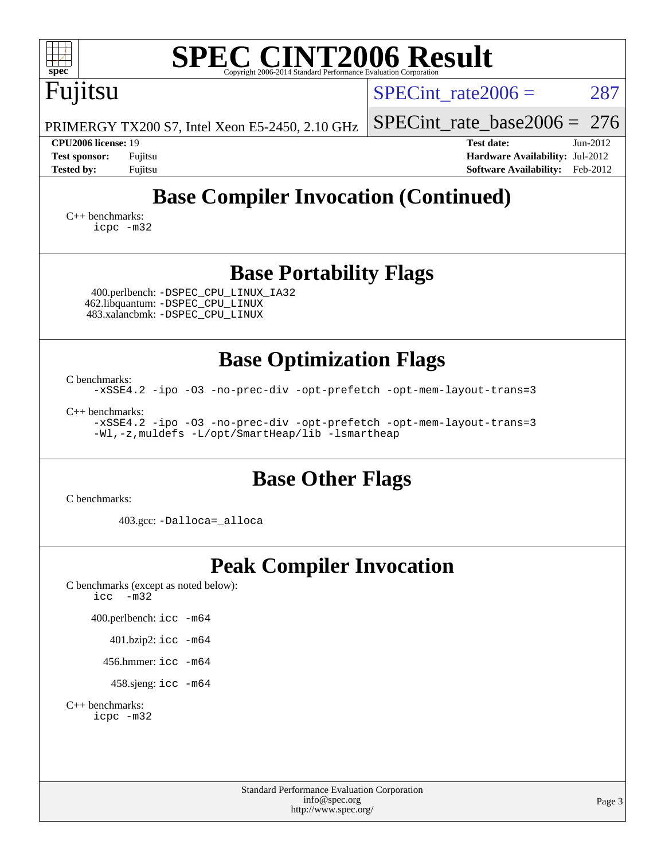| <b>SPEC CINT2006 Result</b><br>$\mathbf{Spec}^*$<br>Copyright 2006-2014 Standard Performance Evaluation Co                                       |                                                                                                                 |
|--------------------------------------------------------------------------------------------------------------------------------------------------|-----------------------------------------------------------------------------------------------------------------|
| Fujitsu                                                                                                                                          | $SPECint_rate2006 =$<br>287                                                                                     |
| PRIMERGY TX200 S7, Intel Xeon E5-2450, 2.10 GHz                                                                                                  | $SPECint_rate_base2006 = 276$                                                                                   |
| CPU2006 license: 19<br><b>Test sponsor:</b><br>Fujitsu<br><b>Tested by:</b><br>Fujitsu                                                           | <b>Test date:</b><br>$Jun-2012$<br>Hardware Availability: Jul-2012<br><b>Software Availability:</b><br>Feb-2012 |
| <b>Base Compiler Invocation (Continued)</b>                                                                                                      |                                                                                                                 |
| $C_{++}$ benchmarks:<br>icpc -m32                                                                                                                |                                                                                                                 |
| <b>Base Portability Flags</b>                                                                                                                    |                                                                                                                 |
| 400.perlbench: - DSPEC CPU LINUX IA32<br>462.libquantum: -DSPEC_CPU_LINUX<br>483.xalancbmk: - DSPEC CPU LINUX                                    |                                                                                                                 |
| <b>Base Optimization Flags</b>                                                                                                                   |                                                                                                                 |
| C benchmarks:<br>-xSSE4.2 -ipo -03 -no-prec-div -opt-prefetch -opt-mem-layout-trans=3                                                            |                                                                                                                 |
| $C_{++}$ benchmarks:<br>-xSSE4.2 -ipo -03 -no-prec-div -opt-prefetch -opt-mem-layout-trans=3<br>-Wl,-z, muldefs -L/opt/SmartHeap/lib -lsmartheap |                                                                                                                 |
| <b>Base Other Flags</b><br>C benchmarks:                                                                                                         |                                                                                                                 |
| 403.gcc: -Dalloca=_alloca                                                                                                                        |                                                                                                                 |
| <b>Peak Compiler Invocation</b><br>C benchmarks (except as noted below):<br>icc<br>$-m32$                                                        |                                                                                                                 |
| 400.perlbench: icc -m64                                                                                                                          |                                                                                                                 |
| 401.bzip2: icc -m64                                                                                                                              |                                                                                                                 |
| 456.hmmer: $\text{icc}$ -m64                                                                                                                     |                                                                                                                 |
| 458.sjeng: icc -m64                                                                                                                              |                                                                                                                 |
| $C_{++}$ benchmarks:<br>icpc -m32                                                                                                                |                                                                                                                 |
| <b>Standard Performance Evaluation Corporation</b><br>info@spec.org<br>http://www.spec.org/                                                      | Page 3                                                                                                          |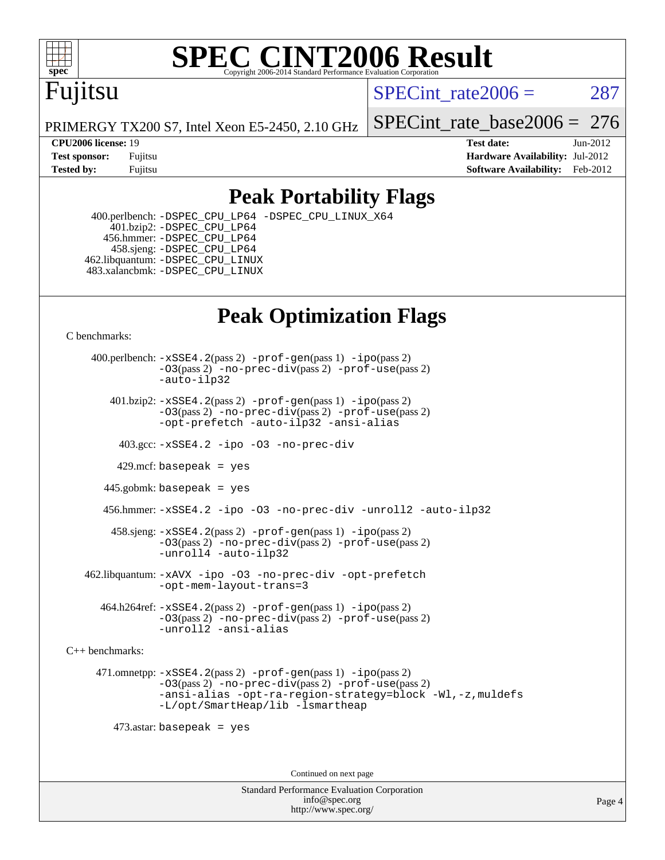

#### **[SPEC CINT2006 Result](http://www.spec.org/auto/cpu2006/Docs/result-fields.html#SPECCINT2006Result)** Copyright 2006-2014 Standard Performance Evaluation C

## Fujitsu

SPECint rate $2006 = 287$ 

PRIMERGY TX200 S7, Intel Xeon E5-2450, 2.10 GHz

**[CPU2006 license:](http://www.spec.org/auto/cpu2006/Docs/result-fields.html#CPU2006license)** 19 **[Test date:](http://www.spec.org/auto/cpu2006/Docs/result-fields.html#Testdate)** Jun-2012

[SPECint\\_rate\\_base2006 =](http://www.spec.org/auto/cpu2006/Docs/result-fields.html#SPECintratebase2006) 276

**[Test sponsor:](http://www.spec.org/auto/cpu2006/Docs/result-fields.html#Testsponsor)** Fujitsu **[Hardware Availability:](http://www.spec.org/auto/cpu2006/Docs/result-fields.html#HardwareAvailability)** Jul-2012 **[Tested by:](http://www.spec.org/auto/cpu2006/Docs/result-fields.html#Testedby)** Fujitsu **Fugital Example 2012 [Software Availability:](http://www.spec.org/auto/cpu2006/Docs/result-fields.html#SoftwareAvailability)** Feb-2012

## **[Peak Portability Flags](http://www.spec.org/auto/cpu2006/Docs/result-fields.html#PeakPortabilityFlags)**

 400.perlbench: [-DSPEC\\_CPU\\_LP64](http://www.spec.org/cpu2006/results/res2012q3/cpu2006-20120810-24151.flags.html#b400.perlbench_peakCPORTABILITY_DSPEC_CPU_LP64) [-DSPEC\\_CPU\\_LINUX\\_X64](http://www.spec.org/cpu2006/results/res2012q3/cpu2006-20120810-24151.flags.html#b400.perlbench_peakCPORTABILITY_DSPEC_CPU_LINUX_X64) 401.bzip2: [-DSPEC\\_CPU\\_LP64](http://www.spec.org/cpu2006/results/res2012q3/cpu2006-20120810-24151.flags.html#suite_peakCPORTABILITY401_bzip2_DSPEC_CPU_LP64) 456.hmmer: [-DSPEC\\_CPU\\_LP64](http://www.spec.org/cpu2006/results/res2012q3/cpu2006-20120810-24151.flags.html#suite_peakCPORTABILITY456_hmmer_DSPEC_CPU_LP64) 458.sjeng: [-DSPEC\\_CPU\\_LP64](http://www.spec.org/cpu2006/results/res2012q3/cpu2006-20120810-24151.flags.html#suite_peakCPORTABILITY458_sjeng_DSPEC_CPU_LP64) 462.libquantum: [-DSPEC\\_CPU\\_LINUX](http://www.spec.org/cpu2006/results/res2012q3/cpu2006-20120810-24151.flags.html#b462.libquantum_peakCPORTABILITY_DSPEC_CPU_LINUX) 483.xalancbmk: [-DSPEC\\_CPU\\_LINUX](http://www.spec.org/cpu2006/results/res2012q3/cpu2006-20120810-24151.flags.html#b483.xalancbmk_peakCXXPORTABILITY_DSPEC_CPU_LINUX)

## **[Peak Optimization Flags](http://www.spec.org/auto/cpu2006/Docs/result-fields.html#PeakOptimizationFlags)**

[C benchmarks](http://www.spec.org/auto/cpu2006/Docs/result-fields.html#Cbenchmarks):

 400.perlbench: [-xSSE4.2](http://www.spec.org/cpu2006/results/res2012q3/cpu2006-20120810-24151.flags.html#user_peakPASS2_CFLAGSPASS2_LDCFLAGS400_perlbench_f-xSSE42_f91528193cf0b216347adb8b939d4107)(pass 2) [-prof-gen](http://www.spec.org/cpu2006/results/res2012q3/cpu2006-20120810-24151.flags.html#user_peakPASS1_CFLAGSPASS1_LDCFLAGS400_perlbench_prof_gen_e43856698f6ca7b7e442dfd80e94a8fc)(pass 1) [-ipo](http://www.spec.org/cpu2006/results/res2012q3/cpu2006-20120810-24151.flags.html#user_peakPASS2_CFLAGSPASS2_LDCFLAGS400_perlbench_f-ipo)(pass 2) [-O3](http://www.spec.org/cpu2006/results/res2012q3/cpu2006-20120810-24151.flags.html#user_peakPASS2_CFLAGSPASS2_LDCFLAGS400_perlbench_f-O3)(pass 2) [-no-prec-div](http://www.spec.org/cpu2006/results/res2012q3/cpu2006-20120810-24151.flags.html#user_peakPASS2_CFLAGSPASS2_LDCFLAGS400_perlbench_f-no-prec-div)(pass 2) [-prof-use](http://www.spec.org/cpu2006/results/res2012q3/cpu2006-20120810-24151.flags.html#user_peakPASS2_CFLAGSPASS2_LDCFLAGS400_perlbench_prof_use_bccf7792157ff70d64e32fe3e1250b55)(pass 2) [-auto-ilp32](http://www.spec.org/cpu2006/results/res2012q3/cpu2006-20120810-24151.flags.html#user_peakCOPTIMIZE400_perlbench_f-auto-ilp32)  $401.bzip2: -xSSE4.2(pass 2) -prof-qen(pass 1) -ipo(pass 2)$  $401.bzip2: -xSSE4.2(pass 2) -prof-qen(pass 1) -ipo(pass 2)$  $401.bzip2: -xSSE4.2(pass 2) -prof-qen(pass 1) -ipo(pass 2)$  $401.bzip2: -xSSE4.2(pass 2) -prof-qen(pass 1) -ipo(pass 2)$  $401.bzip2: -xSSE4.2(pass 2) -prof-qen(pass 1) -ipo(pass 2)$ [-O3](http://www.spec.org/cpu2006/results/res2012q3/cpu2006-20120810-24151.flags.html#user_peakPASS2_CFLAGSPASS2_LDCFLAGS401_bzip2_f-O3)(pass 2) [-no-prec-div](http://www.spec.org/cpu2006/results/res2012q3/cpu2006-20120810-24151.flags.html#user_peakPASS2_CFLAGSPASS2_LDCFLAGS401_bzip2_f-no-prec-div)(pass 2) [-prof-use](http://www.spec.org/cpu2006/results/res2012q3/cpu2006-20120810-24151.flags.html#user_peakPASS2_CFLAGSPASS2_LDCFLAGS401_bzip2_prof_use_bccf7792157ff70d64e32fe3e1250b55)(pass 2) [-opt-prefetch](http://www.spec.org/cpu2006/results/res2012q3/cpu2006-20120810-24151.flags.html#user_peakCOPTIMIZE401_bzip2_f-opt-prefetch) [-auto-ilp32](http://www.spec.org/cpu2006/results/res2012q3/cpu2006-20120810-24151.flags.html#user_peakCOPTIMIZE401_bzip2_f-auto-ilp32) [-ansi-alias](http://www.spec.org/cpu2006/results/res2012q3/cpu2006-20120810-24151.flags.html#user_peakCOPTIMIZE401_bzip2_f-ansi-alias) 403.gcc: [-xSSE4.2](http://www.spec.org/cpu2006/results/res2012q3/cpu2006-20120810-24151.flags.html#user_peakCOPTIMIZE403_gcc_f-xSSE42_f91528193cf0b216347adb8b939d4107) [-ipo](http://www.spec.org/cpu2006/results/res2012q3/cpu2006-20120810-24151.flags.html#user_peakCOPTIMIZE403_gcc_f-ipo) [-O3](http://www.spec.org/cpu2006/results/res2012q3/cpu2006-20120810-24151.flags.html#user_peakCOPTIMIZE403_gcc_f-O3) [-no-prec-div](http://www.spec.org/cpu2006/results/res2012q3/cpu2006-20120810-24151.flags.html#user_peakCOPTIMIZE403_gcc_f-no-prec-div) 429.mcf: basepeak = yes 445.gobmk: basepeak = yes 456.hmmer: [-xSSE4.2](http://www.spec.org/cpu2006/results/res2012q3/cpu2006-20120810-24151.flags.html#user_peakCOPTIMIZE456_hmmer_f-xSSE42_f91528193cf0b216347adb8b939d4107) [-ipo](http://www.spec.org/cpu2006/results/res2012q3/cpu2006-20120810-24151.flags.html#user_peakCOPTIMIZE456_hmmer_f-ipo) [-O3](http://www.spec.org/cpu2006/results/res2012q3/cpu2006-20120810-24151.flags.html#user_peakCOPTIMIZE456_hmmer_f-O3) [-no-prec-div](http://www.spec.org/cpu2006/results/res2012q3/cpu2006-20120810-24151.flags.html#user_peakCOPTIMIZE456_hmmer_f-no-prec-div) [-unroll2](http://www.spec.org/cpu2006/results/res2012q3/cpu2006-20120810-24151.flags.html#user_peakCOPTIMIZE456_hmmer_f-unroll_784dae83bebfb236979b41d2422d7ec2) [-auto-ilp32](http://www.spec.org/cpu2006/results/res2012q3/cpu2006-20120810-24151.flags.html#user_peakCOPTIMIZE456_hmmer_f-auto-ilp32) 458.sjeng: [-xSSE4.2](http://www.spec.org/cpu2006/results/res2012q3/cpu2006-20120810-24151.flags.html#user_peakPASS2_CFLAGSPASS2_LDCFLAGS458_sjeng_f-xSSE42_f91528193cf0b216347adb8b939d4107)(pass 2) [-prof-gen](http://www.spec.org/cpu2006/results/res2012q3/cpu2006-20120810-24151.flags.html#user_peakPASS1_CFLAGSPASS1_LDCFLAGS458_sjeng_prof_gen_e43856698f6ca7b7e442dfd80e94a8fc)(pass 1) [-ipo](http://www.spec.org/cpu2006/results/res2012q3/cpu2006-20120810-24151.flags.html#user_peakPASS2_CFLAGSPASS2_LDCFLAGS458_sjeng_f-ipo)(pass 2) [-O3](http://www.spec.org/cpu2006/results/res2012q3/cpu2006-20120810-24151.flags.html#user_peakPASS2_CFLAGSPASS2_LDCFLAGS458_sjeng_f-O3)(pass 2) [-no-prec-div](http://www.spec.org/cpu2006/results/res2012q3/cpu2006-20120810-24151.flags.html#user_peakPASS2_CFLAGSPASS2_LDCFLAGS458_sjeng_f-no-prec-div)(pass 2) [-prof-use](http://www.spec.org/cpu2006/results/res2012q3/cpu2006-20120810-24151.flags.html#user_peakPASS2_CFLAGSPASS2_LDCFLAGS458_sjeng_prof_use_bccf7792157ff70d64e32fe3e1250b55)(pass 2) [-unroll4](http://www.spec.org/cpu2006/results/res2012q3/cpu2006-20120810-24151.flags.html#user_peakCOPTIMIZE458_sjeng_f-unroll_4e5e4ed65b7fd20bdcd365bec371b81f) [-auto-ilp32](http://www.spec.org/cpu2006/results/res2012q3/cpu2006-20120810-24151.flags.html#user_peakCOPTIMIZE458_sjeng_f-auto-ilp32) 462.libquantum: [-xAVX](http://www.spec.org/cpu2006/results/res2012q3/cpu2006-20120810-24151.flags.html#user_peakCOPTIMIZE462_libquantum_f-xAVX) [-ipo](http://www.spec.org/cpu2006/results/res2012q3/cpu2006-20120810-24151.flags.html#user_peakCOPTIMIZE462_libquantum_f-ipo) [-O3](http://www.spec.org/cpu2006/results/res2012q3/cpu2006-20120810-24151.flags.html#user_peakCOPTIMIZE462_libquantum_f-O3) [-no-prec-div](http://www.spec.org/cpu2006/results/res2012q3/cpu2006-20120810-24151.flags.html#user_peakCOPTIMIZE462_libquantum_f-no-prec-div) [-opt-prefetch](http://www.spec.org/cpu2006/results/res2012q3/cpu2006-20120810-24151.flags.html#user_peakCOPTIMIZE462_libquantum_f-opt-prefetch) [-opt-mem-layout-trans=3](http://www.spec.org/cpu2006/results/res2012q3/cpu2006-20120810-24151.flags.html#user_peakCOPTIMIZE462_libquantum_f-opt-mem-layout-trans_a7b82ad4bd7abf52556d4961a2ae94d5) 464.h264ref: [-xSSE4.2](http://www.spec.org/cpu2006/results/res2012q3/cpu2006-20120810-24151.flags.html#user_peakPASS2_CFLAGSPASS2_LDCFLAGS464_h264ref_f-xSSE42_f91528193cf0b216347adb8b939d4107)(pass 2) [-prof-gen](http://www.spec.org/cpu2006/results/res2012q3/cpu2006-20120810-24151.flags.html#user_peakPASS1_CFLAGSPASS1_LDCFLAGS464_h264ref_prof_gen_e43856698f6ca7b7e442dfd80e94a8fc)(pass 1) [-ipo](http://www.spec.org/cpu2006/results/res2012q3/cpu2006-20120810-24151.flags.html#user_peakPASS2_CFLAGSPASS2_LDCFLAGS464_h264ref_f-ipo)(pass 2) [-O3](http://www.spec.org/cpu2006/results/res2012q3/cpu2006-20120810-24151.flags.html#user_peakPASS2_CFLAGSPASS2_LDCFLAGS464_h264ref_f-O3)(pass 2) [-no-prec-div](http://www.spec.org/cpu2006/results/res2012q3/cpu2006-20120810-24151.flags.html#user_peakPASS2_CFLAGSPASS2_LDCFLAGS464_h264ref_f-no-prec-div)(pass 2) [-prof-use](http://www.spec.org/cpu2006/results/res2012q3/cpu2006-20120810-24151.flags.html#user_peakPASS2_CFLAGSPASS2_LDCFLAGS464_h264ref_prof_use_bccf7792157ff70d64e32fe3e1250b55)(pass 2) [-unroll2](http://www.spec.org/cpu2006/results/res2012q3/cpu2006-20120810-24151.flags.html#user_peakCOPTIMIZE464_h264ref_f-unroll_784dae83bebfb236979b41d2422d7ec2) [-ansi-alias](http://www.spec.org/cpu2006/results/res2012q3/cpu2006-20120810-24151.flags.html#user_peakCOPTIMIZE464_h264ref_f-ansi-alias) [C++ benchmarks:](http://www.spec.org/auto/cpu2006/Docs/result-fields.html#CXXbenchmarks) 471.omnetpp: [-xSSE4.2](http://www.spec.org/cpu2006/results/res2012q3/cpu2006-20120810-24151.flags.html#user_peakPASS2_CXXFLAGSPASS2_LDCXXFLAGS471_omnetpp_f-xSSE42_f91528193cf0b216347adb8b939d4107)(pass 2) [-prof-gen](http://www.spec.org/cpu2006/results/res2012q3/cpu2006-20120810-24151.flags.html#user_peakPASS1_CXXFLAGSPASS1_LDCXXFLAGS471_omnetpp_prof_gen_e43856698f6ca7b7e442dfd80e94a8fc)(pass 1) [-ipo](http://www.spec.org/cpu2006/results/res2012q3/cpu2006-20120810-24151.flags.html#user_peakPASS2_CXXFLAGSPASS2_LDCXXFLAGS471_omnetpp_f-ipo)(pass 2) [-O3](http://www.spec.org/cpu2006/results/res2012q3/cpu2006-20120810-24151.flags.html#user_peakPASS2_CXXFLAGSPASS2_LDCXXFLAGS471_omnetpp_f-O3)(pass 2) [-no-prec-div](http://www.spec.org/cpu2006/results/res2012q3/cpu2006-20120810-24151.flags.html#user_peakPASS2_CXXFLAGSPASS2_LDCXXFLAGS471_omnetpp_f-no-prec-div)(pass 2) [-prof-use](http://www.spec.org/cpu2006/results/res2012q3/cpu2006-20120810-24151.flags.html#user_peakPASS2_CXXFLAGSPASS2_LDCXXFLAGS471_omnetpp_prof_use_bccf7792157ff70d64e32fe3e1250b55)(pass 2) [-ansi-alias](http://www.spec.org/cpu2006/results/res2012q3/cpu2006-20120810-24151.flags.html#user_peakCXXOPTIMIZE471_omnetpp_f-ansi-alias) [-opt-ra-region-strategy=block](http://www.spec.org/cpu2006/results/res2012q3/cpu2006-20120810-24151.flags.html#user_peakCXXOPTIMIZE471_omnetpp_f-opt-ra-region-strategy_a0a37c372d03933b2a18d4af463c1f69) [-Wl,-z,muldefs](http://www.spec.org/cpu2006/results/res2012q3/cpu2006-20120810-24151.flags.html#user_peakEXTRA_LDFLAGS471_omnetpp_link_force_multiple1_74079c344b956b9658436fd1b6dd3a8a) [-L/opt/SmartHeap/lib -lsmartheap](http://www.spec.org/cpu2006/results/res2012q3/cpu2006-20120810-24151.flags.html#user_peakEXTRA_LIBS471_omnetpp_SmartHeap_1046f488ce4b4d9d2689b01742ccb999) 473.astar: basepeak = yes

Continued on next page

Standard Performance Evaluation Corporation [info@spec.org](mailto:info@spec.org) <http://www.spec.org/>